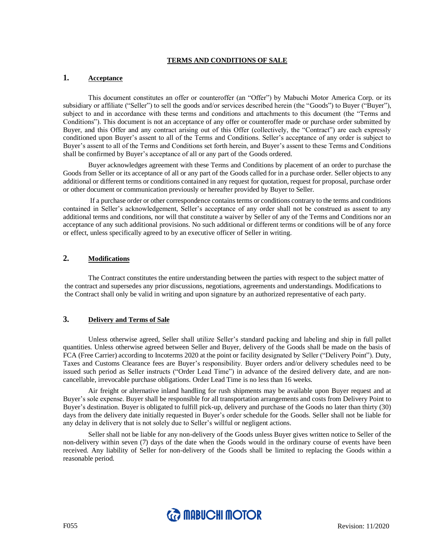#### **TERMS AND CONDITIONS OF SALE**

### **1. Acceptance**

This document constitutes an offer or counteroffer (an "Offer") by Mabuchi Motor America Corp. or its subsidiary or affiliate ("Seller") to sell the goods and/or services described herein (the "Goods") to Buyer ("Buyer"), subject to and in accordance with these terms and conditions and attachments to this document (the "Terms and Conditions"). This document is not an acceptance of any offer or counteroffer made or purchase order submitted by Buyer, and this Offer and any contract arising out of this Offer (collectively, the "Contract") are each expressly conditioned upon Buyer's assent to all of the Terms and Conditions. Seller's acceptance of any order is subject to Buyer's assent to all of the Terms and Conditions set forth herein, and Buyer's assent to these Terms and Conditions shall be confirmed by Buyer's acceptance of all or any part of the Goods ordered.

Buyer acknowledges agreement with these Terms and Conditions by placement of an order to purchase the Goods from Seller or its acceptance of all or any part of the Goods called for in a purchase order. Seller objects to any additional or different terms or conditions contained in any request for quotation, request for proposal, purchase order or other document or communication previously or hereafter provided by Buyer to Seller.

If a purchase order or other correspondence contains terms or conditions contrary to the terms and conditions contained in Seller's acknowledgement, Seller's acceptance of any order shall not be construed as assent to any additional terms and conditions, nor will that constitute a waiver by Seller of any of the Terms and Conditions nor an acceptance of any such additional provisions. No such additional or different terms or conditions will be of any force or effect, unless specifically agreed to by an executive officer of Seller in writing.

# **2. Modifications**

The Contract constitutes the entire understanding between the parties with respect to the subject matter of the contract and supersedes any prior discussions, negotiations, agreements and understandings. Modifications to the Contract shall only be valid in writing and upon signature by an authorized representative of each party.

### **3. Delivery and Terms of Sale**

Unless otherwise agreed, Seller shall utilize Seller's standard packing and labeling and ship in full pallet quantities. Unless otherwise agreed between Seller and Buyer, delivery of the Goods shall be made on the basis of FCA (Free Carrier) according to Incoterms 2020 at the point or facility designated by Seller ("Delivery Point"). Duty, Taxes and Customs Clearance fees are Buyer's responsibility. Buyer orders and/or delivery schedules need to be issued such period as Seller instructs ("Order Lead Time") in advance of the desired delivery date, and are noncancellable, irrevocable purchase obligations. Order Lead Time is no less than 16 weeks.

Air freight or alternative inland handling for rush shipments may be available upon Buyer request and at Buyer's sole expense. Buyer shall be responsible for all transportation arrangements and costs from Delivery Point to Buyer's destination. Buyer is obligated to fulfill pick-up, delivery and purchase of the Goods no later than thirty (30) days from the delivery date initially requested in Buyer's order schedule for the Goods. Seller shall not be liable for any delay in delivery that is not solely due to Seller's willful or negligent actions.

Seller shall not be liable for any non-delivery of the Goods unless Buyer gives written notice to Seller of the non-delivery within seven (7) days of the date when the Goods would in the ordinary course of events have been received. Any liability of Seller for non-delivery of the Goods shall be limited to replacing the Goods within a reasonable period.

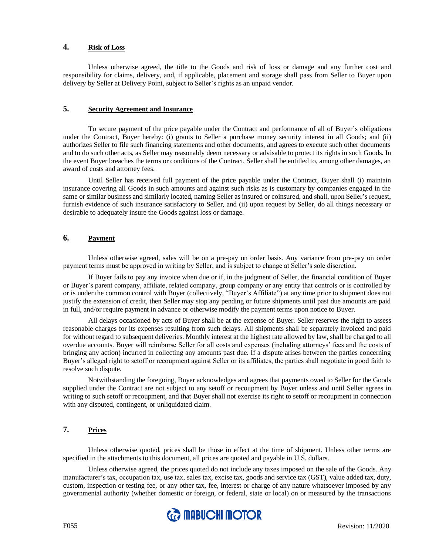## **4. Risk of Loss**

Unless otherwise agreed, the title to the Goods and risk of loss or damage and any further cost and responsibility for claims, delivery, and, if applicable, placement and storage shall pass from Seller to Buyer upon delivery by Seller at Delivery Point, subject to Seller's rights as an unpaid vendor.

# **5. Security Agreement and Insurance**

To secure payment of the price payable under the Contract and performance of all of Buyer's obligations under the Contract, Buyer hereby: (i) grants to Seller a purchase money security interest in all Goods; and (ii) authorizes Seller to file such financing statements and other documents, and agrees to execute such other documents and to do such other acts, as Seller may reasonably deem necessary or advisable to protect its rights in such Goods. In the event Buyer breaches the terms or conditions of the Contract, Seller shall be entitled to, among other damages, an award of costs and attorney fees.

Until Seller has received full payment of the price payable under the Contract, Buyer shall (i) maintain insurance covering all Goods in such amounts and against such risks as is customary by companies engaged in the same or similar business and similarly located, naming Seller as insured or coinsured, and shall, upon Seller's request, furnish evidence of such insurance satisfactory to Seller, and (ii) upon request by Seller, do all things necessary or desirable to adequately insure the Goods against loss or damage.

## **6. Payment**

Unless otherwise agreed, sales will be on a pre-pay on order basis. Any variance from pre-pay on order payment terms must be approved in writing by Seller, and is subject to change at Seller's sole discretion.

If Buyer fails to pay any invoice when due or if, in the judgment of Seller, the financial condition of Buyer or Buyer's parent company, affiliate, related company, group company or any entity that controls or is controlled by or is under the common control with Buyer (collectively, "Buyer's Affiliate") at any time prior to shipment does not justify the extension of credit, then Seller may stop any pending or future shipments until past due amounts are paid in full, and/or require payment in advance or otherwise modify the payment terms upon notice to Buyer.

All delays occasioned by acts of Buyer shall be at the expense of Buyer. Seller reserves the right to assess reasonable charges for its expenses resulting from such delays. All shipments shall be separately invoiced and paid for without regard to subsequent deliveries. Monthly interest at the highest rate allowed by law, shall be charged to all overdue accounts. Buyer will reimburse Seller for all costs and expenses (including attorneys' fees and the costs of bringing any action) incurred in collecting any amounts past due. If a dispute arises between the parties concerning Buyer's alleged right to setoff or recoupment against Seller or its affiliates, the parties shall negotiate in good faith to resolve such dispute.

Notwithstanding the foregoing, Buyer acknowledges and agrees that payments owed to Seller for the Goods supplied under the Contract are not subject to any setoff or recoupment by Buyer unless and until Seller agrees in writing to such setoff or recoupment, and that Buyer shall not exercise its right to setoff or recoupment in connection with any disputed, contingent, or unliquidated claim.

# **7. Prices**

Unless otherwise quoted, prices shall be those in effect at the time of shipment. Unless other terms are specified in the attachments to this document, all prices are quoted and payable in U.S. dollars.

Unless otherwise agreed, the prices quoted do not include any taxes imposed on the sale of the Goods. Any manufacturer's tax, occupation tax, use tax, sales tax, excise tax, goods and service tax (GST), value added tax, duty, custom, inspection or testing fee, or any other tax, fee, interest or charge of any nature whatsoever imposed by any governmental authority (whether domestic or foreign, or federal, state or local) on or measured by the transactions

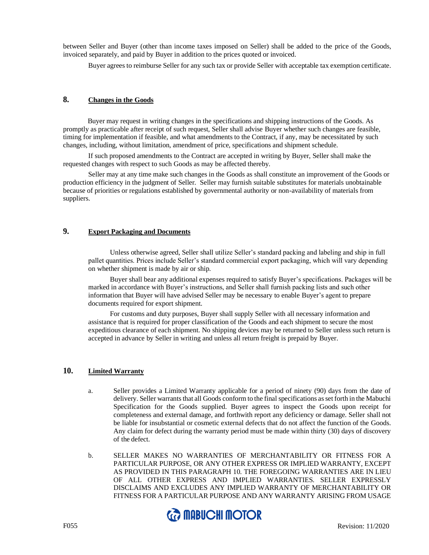between Seller and Buyer (other than income taxes imposed on Seller) shall be added to the price of the Goods, invoiced separately, and paid by Buyer in addition to the prices quoted or invoiced.

Buyer agrees to reimburse Seller for any such tax or provide Seller with acceptable tax exemption certificate.

## **8. Changes in the Goods**

 Buyer may request in writing changes in the specifications and shipping instructions of the Goods. As promptly as practicable after receipt of such request, Seller shall advise Buyer whether such changes are feasible, timing for implementation if feasible, and what amendments to the Contract, if any, may be necessitated by such changes, including, without limitation, amendment of price, specifications and shipment schedule.

If such proposed amendments to the Contract are accepted in writing by Buyer, Seller shall make the requested changes with respect to such Goods as may be affected thereby.

Seller may at any time make such changes in the Goods as shall constitute an improvement of the Goods or production efficiency in the judgment of Seller. Seller may furnish suitable substitutes for materials unobtainable because of priorities or regulations established by governmental authority or non-availability of materials from suppliers.

# **9. Export Packaging and Documents**

Unless otherwise agreed, Seller shall utilize Seller's standard packing and labeling and ship in full pallet quantities. Prices include Seller's standard commercial export packaging, which will vary depending on whether shipment is made by air or ship.

Buyer shall bear any additional expenses required to satisfy Buyer's specifications. Packages will be marked in accordance with Buyer's instructions, and Seller shall furnish packing lists and such other information that Buyer will have advised Seller may be necessary to enable Buyer's agent to prepare documents required for export shipment.

For customs and duty purposes, Buyer shall supply Seller with all necessary information and assistance that is required for proper classification of the Goods and each shipment to secure the most expeditious clearance of each shipment. No shipping devices may be returned to Seller unless such return is accepted in advance by Seller in writing and unless all return freight is prepaid by Buyer.

## **10. Limited Warranty**

- a. Seller provides a Limited Warranty applicable for a period of ninety (90) days from the date of delivery. Seller warrants that all Goods conform to the final specifications as set forth in the Mabuchi Specification for the Goods supplied. Buyer agrees to inspect the Goods upon receipt for completeness and external damage, and forthwith report any deficiency or damage. Seller shall not be liable for insubstantial or cosmetic external defects that do not affect the function of the Goods. Any claim for defect during the warranty period must be made within thirty (30) days of discovery of the defect.
- b. SELLER MAKES NO WARRANTIES OF MERCHANTABILITY OR FITNESS FOR A PARTICULAR PURPOSE, OR ANY OTHER EXPRESS OR IMPLIED WARRANTY, EXCEPT AS PROVIDED IN THIS PARAGRAPH 10. THE FOREGOING WARRANTIES ARE IN LIEU OF ALL OTHER EXPRESS AND IMPLIED WARRANTIES. SELLER EXPRESSLY DISCLAIMS AND EXCLUDES ANY IMPLIED WARRANTY OF MERCHANTABILITY OR FITNESS FOR A PARTICULAR PURPOSE AND ANY WARRANTY ARISING FROM USAGE

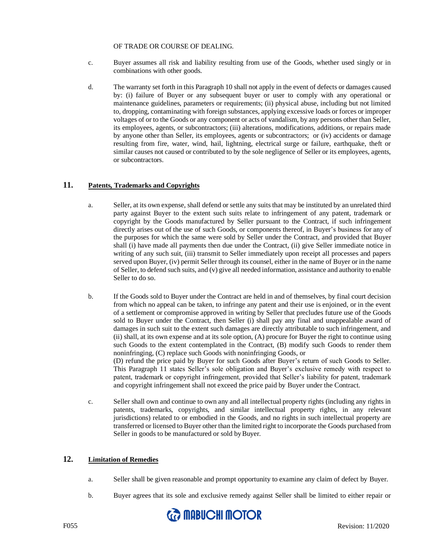#### OF TRADE OR COURSE OF DEALING.

- c. Buyer assumes all risk and liability resulting from use of the Goods, whether used singly or in combinations with other goods.
- d. The warranty set forth in this Paragraph 10 shall not apply in the event of defects or damages caused by: (i) failure of Buyer or any subsequent buyer or user to comply with any operational or maintenance guidelines, parameters or requirements; (ii) physical abuse, including but not limited to, dropping, contaminating with foreign substances, applying excessive loads or forces or improper voltages of or to the Goods or any component or acts of vandalism, by any persons other than Seller, its employees, agents, or subcontractors; (iii) alterations, modifications, additions, or repairs made by anyone other than Seller, its employees, agents or subcontractors; or (iv) accidents or damage resulting from fire, water, wind, hail, lightning, electrical surge or failure, earthquake, theft or similar causes not caused or contributed to by the sole negligence of Seller or its employees, agents, or subcontractors.

### **11. Patents, Trademarks and Copyrights**

- a. Seller, at its own expense, shall defend or settle any suits that may be instituted by an unrelated third party against Buyer to the extent such suits relate to infringement of any patent, trademark or copyright by the Goods manufactured by Seller pursuant to the Contract, if such infringement directly arises out of the use of such Goods, or components thereof, in Buyer's business for any of the purposes for which the same were sold by Seller under the Contract, and provided that Buyer shall (i) have made all payments then due under the Contract, (ii) give Seller immediate notice in writing of any such suit, (iii) transmit to Seller immediately upon receipt all processes and papers served upon Buyer, (iv) permit Seller through its counsel, either in the name of Buyer or in the name of Seller, to defend such suits, and (v) give all needed information, assistance and authority to enable Seller to do so.
- b. If the Goods sold to Buyer under the Contract are held in and of themselves, by final court decision from which no appeal can be taken, to infringe any patent and their use is enjoined, or in the event of a settlement or compromise approved in writing by Seller that precludes future use of the Goods sold to Buyer under the Contract, then Seller (i) shall pay any final and unappealable award of damages in such suit to the extent such damages are directly attributable to such infringement, and (ii) shall, at its own expense and at its sole option, (A) procure for Buyer the right to continue using such Goods to the extent contemplated in the Contract, (B) modify such Goods to render them noninfringing, (C) replace such Goods with noninfringing Goods, or (D) refund the price paid by Buyer for such Goods after Buyer's return of such Goods to Seller. This Paragraph 11 states Seller's sole obligation and Buyer's exclusive remedy with respect to patent, trademark or copyright infringement, provided that Seller's liability for patent, trademark
- and copyright infringement shall not exceed the price paid by Buyer under the Contract. c. Seller shall own and continue to own any and all intellectual property rights (including any rights in patents, trademarks, copyrights, and similar intellectual property rights, in any relevant jurisdictions) related to or embodied in the Goods, and no rights in such intellectual property are transferred or licensed to Buyer other than the limited right to incorporate the Goods purchased from

### **12. Limitation of Remedies**

- a. Seller shall be given reasonable and prompt opportunity to examine any claim of defect by Buyer.
- b. Buyer agrees that its sole and exclusive remedy against Seller shall be limited to either repair or



Seller in goods to be manufactured or sold by Buyer.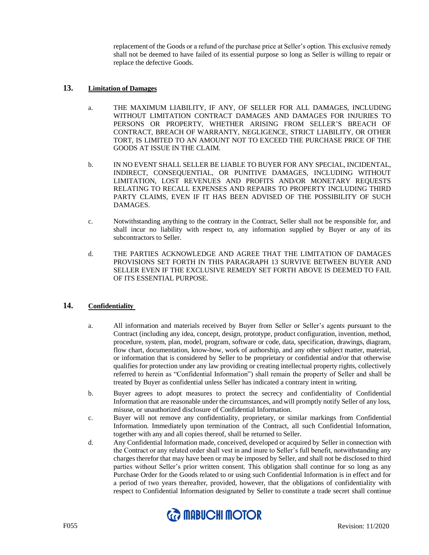replacement of the Goods or a refund of the purchase price at Seller's option. This exclusive remedy shall not be deemed to have failed of its essential purpose so long as Seller is willing to repair or replace the defective Goods.

### **13. Limitation of Damages**

- a. THE MAXIMUM LIABILITY, IF ANY, OF SELLER FOR ALL DAMAGES, INCLUDING WITHOUT LIMITATION CONTRACT DAMAGES AND DAMAGES FOR INJURIES TO PERSONS OR PROPERTY, WHETHER ARISING FROM SELLER'S BREACH OF CONTRACT, BREACH OF WARRANTY, NEGLIGENCE, STRICT LIABILITY, OR OTHER TORT, IS LIMITED TO AN AMOUNT NOT TO EXCEED THE PURCHASE PRICE OF THE GOODS AT ISSUE IN THE CLAIM.
- b. IN NO EVENT SHALL SELLER BE LIABLE TO BUYER FOR ANY SPECIAL, INCIDENTAL, INDIRECT, CONSEQUENTIAL, OR PUNITIVE DAMAGES, INCLUDING WITHOUT LIMITATION, LOST REVENUES AND PROFITS AND/OR MONETARY REQUESTS RELATING TO RECALL EXPENSES AND REPAIRS TO PROPERTY INCLUDING THIRD PARTY CLAIMS, EVEN IF IT HAS BEEN ADVISED OF THE POSSIBILITY OF SUCH DAMAGES.
- c. Notwithstanding anything to the contrary in the Contract, Seller shall not be responsible for, and shall incur no liability with respect to, any information supplied by Buyer or any of its subcontractors to Seller.
- d. THE PARTIES ACKNOWLEDGE AND AGREE THAT THE LIMITATION OF DAMAGES PROVISIONS SET FORTH IN THIS PARAGRAPH 13 SURVIVE BETWEEN BUYER AND SELLER EVEN IF THE EXCLUSIVE REMEDY SET FORTH ABOVE IS DEEMED TO FAIL OF ITS ESSENTIAL PURPOSE.

### **14. Confidentiality**

- a. All information and materials received by Buyer from Seller or Seller's agents pursuant to the Contract (including any idea, concept, design, prototype, product configuration, invention, method, procedure, system, plan, model, program, software or code, data, specification, drawings, diagram, flow chart, documentation, know-how, work of authorship, and any other subject matter, material, or information that is considered by Seller to be proprietary or confidential and/or that otherwise qualifies for protection under any law providing or creating intellectual property rights, collectively referred to herein as "Confidential Information") shall remain the property of Seller and shall be treated by Buyer as confidential unless Seller has indicated a contrary intent in writing.
- b. Buyer agrees to adopt measures to protect the secrecy and confidentiality of Confidential Information that are reasonable under the circumstances, and will promptly notify Seller of any loss, misuse, or unauthorized disclosure of Confidential Information.
- c. Buyer will not remove any confidentiality, proprietary, or similar markings from Confidential Information. Immediately upon termination of the Contract, all such Confidential Information, together with any and all copies thereof, shall be returned to Seller.
- d. Any Confidential Information made, conceived, developed or acquired by Seller in connection with the Contract or any related order shall vest in and inure to Seller's full benefit, notwithstanding any charges therefor that may have been or may be imposed by Seller, and shall not be disclosed to third parties without Seller's prior written consent. This obligation shall continue for so long as any Purchase Order for the Goods related to or using such Confidential Information is in effect and for a period of two years thereafter, provided, however, that the obligations of confidentiality with respect to Confidential Information designated by Seller to constitute a trade secret shall continue

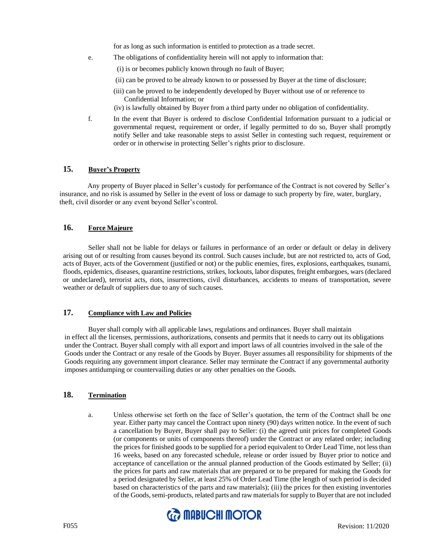for as long as such information is entitled to protection as a trade secret.

- e. The obligations of confidentiality herein will not apply to information that:
	- (i) is or becomes publicly known through no fault of Buyer;
	- (ii) can be proved to be already known to or possessed by Buyer at the time of disclosure;
	- (iii) can be proved to be independently developed by Buyer without use of or reference to Confidential Information; or
	- (iv) is lawfully obtained by Buyer from a third party under no obligation of confidentiality.
- f. In the event that Buyer is ordered to disclose Confidential Information pursuant to a judicial or governmental request, requirement or order, if legally permitted to do so, Buyer shall promptly notify Seller and take reasonable steps to assist Seller in contesting such request, requirement or order or in otherwise in protecting Seller's rights prior to disclosure.

## **15. Buyer's Property**

Any property of Buyer placed in Seller's custody for performance of the Contract is not covered by Seller's insurance, and no risk is assumed by Seller in the event of loss or damage to such property by fire, water, burglary, theft, civil disorder or any event beyond Seller's control.

# **16. Force Majeure**

Seller shall not be liable for delays or failures in performance of an order or default or delay in delivery arising out of or resulting from causes beyond its control. Such causes include, but are not restricted to, acts of God, acts of Buyer, acts of the Government (justified or not) or the public enemies, fires, explosions, earthquakes, tsunami, floods, epidemics, diseases, quarantine restrictions, strikes, lockouts, labor disputes, freight embargoes, wars (declared or undeclared), terrorist acts, riots, insurrections, civil disturbances, accidents to means of transportation, severe weather or default of suppliers due to any of such causes.

### **17. Compliance with Law and Policies**

Buyer shall comply with all applicable laws, regulations and ordinances. Buyer shall maintain in effect all the licenses, permissions, authorizations, consents and permits that it needs to carry out its obligations under the Contract. Buyer shall comply with all export and import laws of all countries involved in the sale of the Goods under the Contract or any resale of the Goods by Buyer. Buyer assumes all responsibility for shipments of the Goods requiring any government import clearance. Seller may terminate the Contract if any governmental authority imposes antidumping or countervailing duties or any other penalties on the Goods.

# **18. Termination**

a. Unless otherwise set forth on the face of Seller's quotation, the term of the Contract shall be one year. Either party may cancel the Contract upon ninety (90) days written notice. In the event of such a cancellation by Buyer, Buyer shall pay to Seller: (i) the agreed unit prices for completed Goods (or components or units of components thereof) under the Contract or any related order; including the prices for finished goods to be supplied for a period equivalent to Order Lead Time, not less than 16 weeks, based on any forecasted schedule, release or order issued by Buyer prior to notice and acceptance of cancellation or the annual planned production of the Goods estimated by Seller; (ii) the prices for parts and raw materials that are prepared or to be prepared for making the Goods for a period designated by Seller, at least 25% of Order Lead Time (the length of such period is decided based on characteristics of the parts and raw materials); (iii) the prices for then existing inventories of the Goods, semi-products, related parts and raw materials for supply to Buyer that are not included

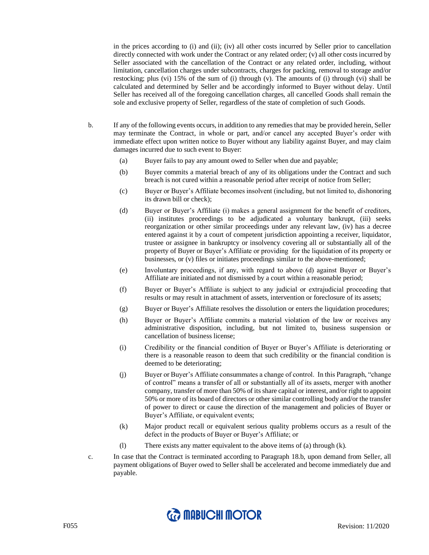in the prices according to (i) and (ii); (iv) all other costs incurred by Seller prior to cancellation directly connected with work under the Contract or any related order; (v) all other costs incurred by Seller associated with the cancellation of the Contract or any related order, including, without limitation, cancellation charges under subcontracts, charges for packing, removal to storage and/or restocking; plus (vi) 15% of the sum of (i) through (v). The amounts of (i) through (vi) shall be calculated and determined by Seller and be accordingly informed to Buyer without delay. Until Seller has received all of the foregoing cancellation charges, all cancelled Goods shall remain the sole and exclusive property of Seller, regardless of the state of completion of such Goods.

- b. If any of the following events occurs, in addition to any remedies that may be provided herein, Seller may terminate the Contract, in whole or part, and/or cancel any accepted Buyer's order with immediate effect upon written notice to Buyer without any liability against Buyer, and may claim damages incurred due to such event to Buyer:
	- (a) Buyer fails to pay any amount owed to Seller when due and payable;
	- (b) Buyer commits a material breach of any of its obligations under the Contract and such breach is not cured within a reasonable period after receipt of notice from Seller;
	- (c) Buyer or Buyer's Affiliate becomes insolvent (including, but not limited to, dishonoring its drawn bill or check);
	- (d) Buyer or Buyer's Affiliate (i) makes a general assignment for the benefit of creditors, (ii) institutes proceedings to be adjudicated a voluntary bankrupt, (iii) seeks reorganization or other similar proceedings under any relevant law, (iv) has a decree entered against it by a court of competent jurisdiction appointing a receiver, liquidator, trustee or assignee in bankruptcy or insolvency covering all or substantially all of the property of Buyer or Buyer's Affiliate or providing for the liquidation of its property or businesses, or (v) files or initiates proceedings similar to the above-mentioned;
	- (e) Involuntary proceedings, if any, with regard to above (d) against Buyer or Buyer's Affiliate are initiated and not dismissed by a court within a reasonable period;
	- (f) Buyer or Buyer's Affiliate is subject to any judicial or extrajudicial proceeding that results or may result in attachment of assets, intervention or foreclosure of its assets;
	- (g) Buyer or Buyer's Affiliate resolves the dissolution or enters the liquidation procedures;
	- (h) Buyer or Buyer's Affiliate commits a material violation of the law or receives any administrative disposition, including, but not limited to, business suspension or cancellation of business license;
	- (i) Credibility or the financial condition of Buyer or Buyer's Affiliate is deteriorating or there is a reasonable reason to deem that such credibility or the financial condition is deemed to be deteriorating;
	- (j) Buyer or Buyer's Affiliate consummates a change of control. In this Paragraph, "change of control" means a transfer of all or substantially all of its assets, merger with another company, transfer of more than 50% of its share capital or interest, and/or right to appoint 50% or more of its board of directors or other similar controlling body and/or the transfer of power to direct or cause the direction of the management and policies of Buyer or Buyer's Affiliate, or equivalent events;
	- (k) Major product recall or equivalent serious quality problems occurs as a result of the defect in the products of Buyer or Buyer's Affiliate; or
	- (l) There exists any matter equivalent to the above items of (a) through (k).
- c. In case that the Contract is terminated according to Paragraph 18.b, upon demand from Seller, all payment obligations of Buyer owed to Seller shall be accelerated and become immediately due and payable.